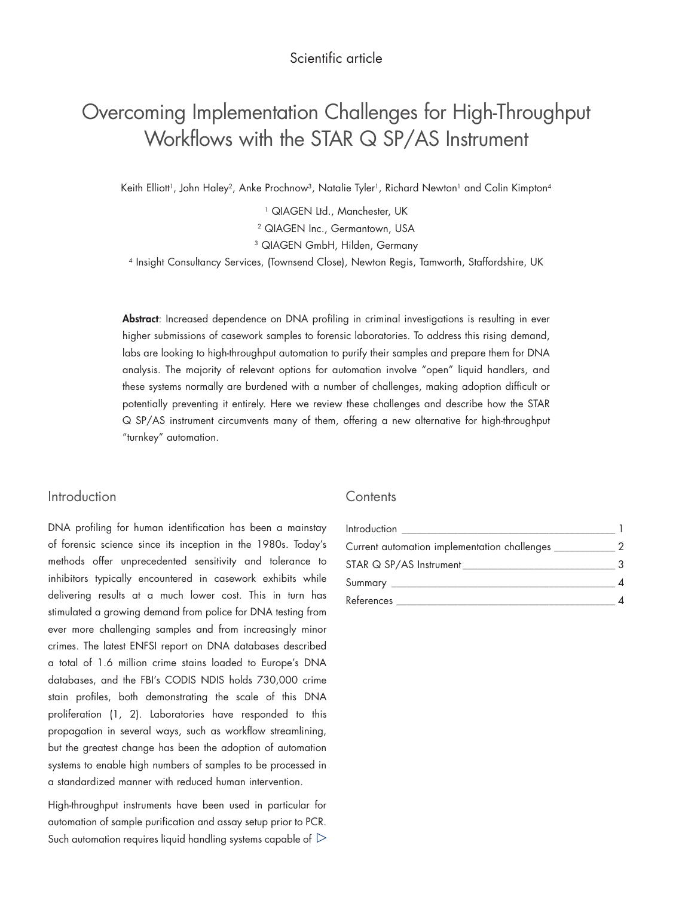# Overcoming Implementation Challenges for High-Throughput Workflows with the STAR Q SP/AS Instrument

Keith Elliott<sup>1</sup>, John Haley<sup>2</sup>, Anke Prochnow<sup>3</sup>, Natalie Tyler<sup>1</sup>, Richard Newton<sup>1</sup> and Colin Kimpton<sup>4</sup>

<sup>1</sup> QIAGEN Ltd., Manchester, UK

2 QIAGEN Inc., Germantown, USA

<sup>3</sup> QIAGEN GmbH, Hilden, Germany

4 Insight Consultancy Services, (Townsend Close), Newton Regis, Tamworth, Staffordshire, UK

Abstract: Increased dependence on DNA profiling in criminal investigations is resulting in ever higher submissions of casework samples to forensic laboratories. To address this rising demand, labs are looking to high-throughput automation to purify their samples and prepare them for DNA analysis. The majority of relevant options for automation involve "open" liquid handlers, and these systems normally are burdened with a number of challenges, making adoption difficult or potentially preventing it entirely. Here we review these challenges and describe how the STAR Q SP/AS instrument circumvents many of them, offering a new alternative for high-throughput "turnkey" automation.

# Introduction

DNA profiling for human identification has been a mainstay of forensic science since its inception in the 1980s. Today's methods offer unprecedented sensitivity and tolerance to inhibitors typically encountered in casework exhibits while delivering results at a much lower cost. This in turn has stimulated a growing demand from police for DNA testing from ever more challenging samples and from increasingly minor crimes. The latest ENFSI report on DNA databases described a total of 1.6 million crime stains loaded to Europe's DNA databases, and the FBI's CODIS NDIS holds 730,000 crime stain profiles, both demonstrating the scale of this DNA proliferation (1, 2). Laboratories have responded to this propagation in several ways, such as workflow streamlining, but the greatest change has been the adoption of automation systems to enable high numbers of samples to be processed in a standardized manner with reduced human intervention.

High-throughput instruments have been used in particular for automation of sample purification and assay setup prior to PCR. Such automation requires liquid handling systems capable of  $\mathrel{\triangleright}$ 

# **Contents**

| Introduction <b>Executive Contract Contract Contract Contract Contract Contract Contract Contract Contract Contract Contract Contract Contract Contract Contract Contract Contract Contract Contract Contract Contract Contract </b> |   |
|--------------------------------------------------------------------------------------------------------------------------------------------------------------------------------------------------------------------------------------|---|
| Current automation implementation challenges ___________                                                                                                                                                                             | 2 |
|                                                                                                                                                                                                                                      | २ |
|                                                                                                                                                                                                                                      |   |
| References                                                                                                                                                                                                                           |   |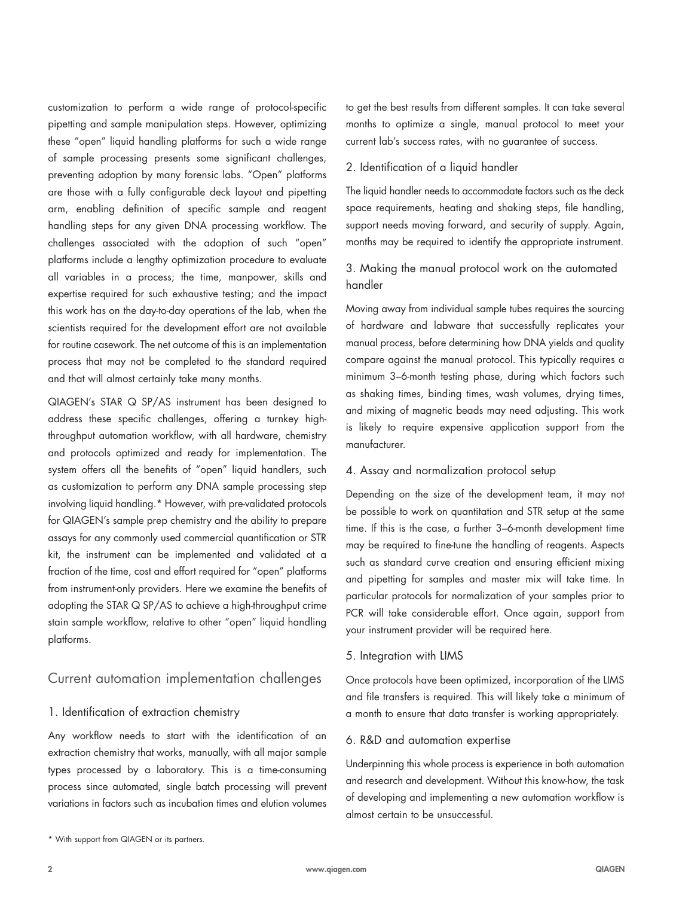customization to perform a wide range of protocol-specific pipetting and sample manipulation steps. However, optimizing these "open" liquid handling platforms for such a wide range of sample processing presents some significant challenges, preventing adoption by many forensic labs. "Open" platforms are those with a fully configurable deck layout and pipetting arm, enabling definition of specific sample and reagent handling steps for any given DNA processing workflow. The challenges associated with the adoption of such "open" platforms include a lengthy optimization procedure to evaluate all variables in a process; the time, manpower, skills and expertise required for such exhaustive testing; and the impact this work has on the day-to-day operations of the lab, when the scientists required for the development effort are not available for routine casework. The net outcome of this is an implementation process that may not be completed to the standard required and that will almost certainly take many months.

QIAGEN's STAR Q SP/AS instrument has been designed to address these specific challenges, offering a turnkey highthroughput automation workflow, with all hardware, chemistry and protocols optimized and ready for implementation. The system offers all the benefits of "open" liquid handlers, such as customization to perform any DNA sample processing step involving liquid handling.\* However, with pre-validated protocols for QIAGEN's sample prep chemistry and the ability to prepare assays for any commonly used commercial quantification or STR kit, the instrument can be implemented and validated at a fraction of the time, cost and effort required for "open" platforms from instrument-only providers. Here we examine the benefits of adopting the STAR Q SP/AS to achieve a high-throughput crime stain sample workflow, relative to other "open" liquid handling platforms.

# Current automation implementation challenges

# 1. Identification of extraction chemistry

Any workflow needs to start with the identification of an extraction chemistry that works, manually, with all major sample types processed by a laboratory. This is a time-consuming process since automated, single batch processing will prevent variations in factors such as incubation times and elution volumes

\* With support from QIAGEN or its partners.

to get the best results from different samples. It can take several months to optimize a single, manual protocol to meet your current lab's success rates, with no guarantee of success.

### 2. Identification of a liquid handler

The liquid handler needs to accommodate factors such as the deck space requirements, heating and shaking steps, file handling, support needs moving forward, and security of supply. Again, months may be required to identify the appropriate instrument.

# 3. Making the manual protocol work on the automated handler

Moving away from individual sample tubes requires the sourcing of hardware and labware that successfully replicates your manual process, before determining how DNA yields and quality compare against the manual protocol. This typically requires a minimum 3–6-month testing phase, during which factors such as shaking times, binding times, wash volumes, drying times, and mixing of magnetic beads may need adjusting. This work is likely to require expensive application support from the manufacturer.

## 4. Assay and normalization protocol setup

Depending on the size of the development team, it may not be possible to work on quantitation and STR setup at the same time. If this is the case, a further 3–6-month development time may be required to fine-tune the handling of reagents. Aspects such as standard curve creation and ensuring efficient mixing and pipetting for samples and master mix will take time. In particular protocols for normalization of your samples prior to PCR will take considerable effort. Once again, support from your instrument provider will be required here.

### 5. Integration with LIMS

Once protocols have been optimized, incorporation of the LIMS and file transfers is required. This will likely take a minimum of a month to ensure that data transfer is working appropriately.

#### 6. R&D and automation expertise

Underpinning this whole process is experience in both automation and research and development. Without this know-how, the task of developing and implementing a new automation workflow is almost certain to be unsuccessful.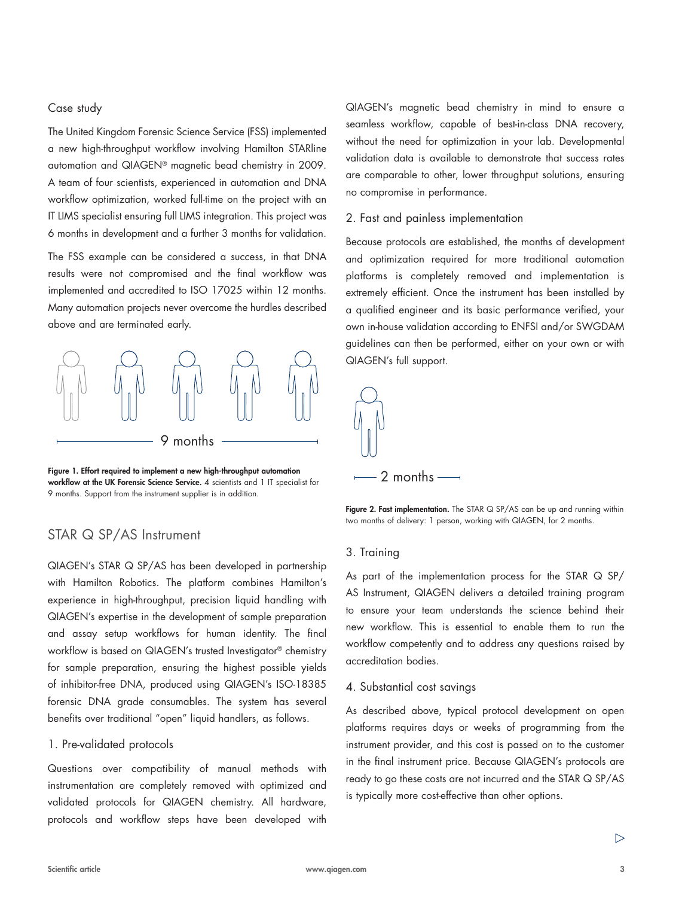## Case study

The United Kingdom Forensic Science Service (FSS) implemented a new high-throughput workflow involving Hamilton STARline automation and QIAGEN® magnetic bead chemistry in 2009. A team of four scientists, experienced in automation and DNA workflow optimization, worked full-time on the project with an IT LIMS specialist ensuring full LIMS integration. This project was 6 months in development and a further 3 months for validation.

The FSS example can be considered a success, in that DNA results were not compromised and the final workflow was implemented and accredited to ISO 17025 within 12 months. Many automation projects never overcome the hurdles described above and are terminated early.



Figure 1. Effort required to implement a new high-throughput automation workflow at the UK Forensic Science Service. 4 scientists and 1 IT specialist for 9 months. Support from the instrument supplier is in addition.

# STAR Q SP/AS Instrument

QIAGEN's STAR Q SP/AS has been developed in partnership with Hamilton Robotics. The platform combines Hamilton's experience in high-throughput, precision liquid handling with QIAGEN's expertise in the development of sample preparation and assay setup workflows for human identity. The final workflow is based on QIAGEN's trusted Investigator® chemistry for sample preparation, ensuring the highest possible yields of inhibitor-free DNA, produced using QIAGEN's ISO-18385 forensic DNA grade consumables. The system has several benefits over traditional "open" liquid handlers, as follows.

## 1. Pre-validated protocols

Questions over compatibility of manual methods with instrumentation are completely removed with optimized and validated protocols for QIAGEN chemistry. All hardware, protocols and workflow steps have been developed with QIAGEN's magnetic bead chemistry in mind to ensure a seamless workflow, capable of best-in-class DNA recovery, without the need for optimization in your lab. Developmental validation data is available to demonstrate that success rates are comparable to other, lower throughput solutions, ensuring no compromise in performance.

#### 2. Fast and painless implementation

Because protocols are established, the months of development and optimization required for more traditional automation platforms is completely removed and implementation is extremely efficient. Once the instrument has been installed by a qualified engineer and its basic performance verified, your own in-house validation according to ENFSI and/or SWGDAM guidelines can then be performed, either on your own or with QIAGEN's full support.



Figure 2. Fast implementation. The STAR Q SP/AS can be up and running within two months of delivery: 1 person, working with QIAGEN, for 2 months.

#### 3. Training

As part of the implementation process for the STAR Q SP/ AS Instrument, QIAGEN delivers a detailed training program to ensure your team understands the science behind their new workflow. This is essential to enable them to run the workflow competently and to address any questions raised by accreditation bodies.

#### 4. Substantial cost savings

As described above, typical protocol development on open platforms requires days or weeks of programming from the instrument provider, and this cost is passed on to the customer in the final instrument price. Because QIAGEN's protocols are ready to go these costs are not incurred and the STAR Q SP/AS is typically more cost-effective than other options.

 $\triangleright$